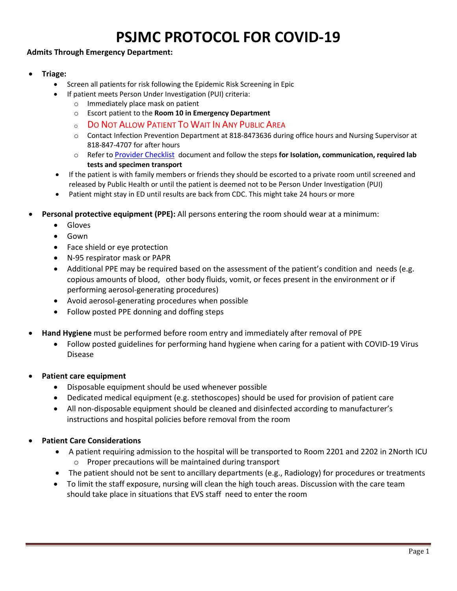## **PSJMC PROTOCOL FOR COVID-19**

## **Admits Through Emergency Department:**

- **Triage:** 
	- Screen all patients for risk following the Epidemic Risk Screening in Epic
		- If patient meets Person Under Investigation (PUI) criteria:
			- o Immediately place mask on patient
			- o Escort patient to the **Room 10 in Emergency Department**
			- <sup>o</sup> DO NOT ALLOW PATIENT TO WAIT IN ANY PUBLIC AREA
			- o Contact Infection Prevention Department at 818-8473636 during office hours and Nursing Supervisor at 818-847-4707 for after hours
			- o Refer to [Provider Checklist](file://PCASJISSHARED/SHARED/epidemiology/CoronaVirus%202020/Provider%20Checklist) document and follow the steps **for Isolation, communication, required lab tests and specimen transport**
	- If the patient is with family members or friends they should be escorted to a private room until screened and released by Public Health or until the patient is deemed not to be Person Under Investigation (PUI)
	- Patient might stay in ED until results are back from CDC. This might take 24 hours or more
- **Personal protective equipment (PPE):** All persons entering the room should wear at a minimum:
	- Gloves
	- Gown
	- Face shield or eye protection
	- N-95 respirator mask or PAPR
	- Additional PPE may be required based on the assessment of the patient's condition and needs (e.g. copious amounts of blood, other body fluids, vomit, or feces present in the environment or if performing aerosol-generating procedures)
	- Avoid aerosol-generating procedures when possible
	- Follow posted PPE donning and doffing steps
- **Hand Hygiene** must be performed before room entry and immediately after removal of PPE
	- Follow posted guidelines for performing hand hygiene when caring for a patient with COVID-19 Virus Disease
- **Patient care equipment** 
	- Disposable equipment should be used whenever possible
	- Dedicated medical equipment (e.g. stethoscopes) should be used for provision of patient care
	- All non-disposable equipment should be cleaned and disinfected according to manufacturer's instructions and hospital policies before removal from the room
- **Patient Care Considerations** 
	- A patient requiring admission to the hospital will be transported to Room 2201 and 2202 in 2North ICU o Proper precautions will be maintained during transport
	- The patient should not be sent to ancillary departments (e.g., Radiology) for procedures or treatments
	- To limit the staff exposure, nursing will clean the high touch areas. Discussion with the care team should take place in situations that EVS staff need to enter the room